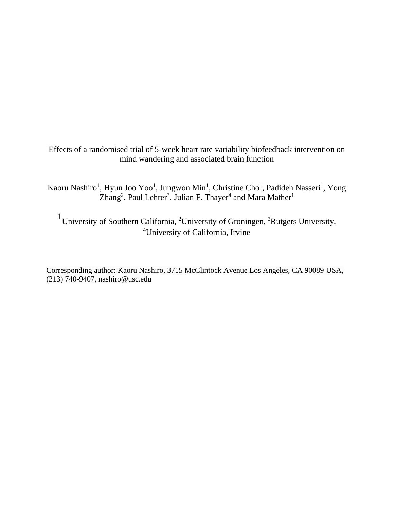Effects of a randomised trial of 5-week heart rate variability biofeedback intervention on mind wandering and associated brain function

Kaoru Nashiro<sup>1</sup>, Hyun Joo Yoo<sup>1</sup>, Jungwon Min<sup>1</sup>, Christine Cho<sup>1</sup>, Padideh Nasseri<sup>1</sup>, Yong  $Zhang<sup>2</sup>$ , Paul Lehrer<sup>3</sup>, Julian F. Thayer<sup>4</sup> and Mara Mather<sup>1</sup>

<sup>1</sup> University of Southern California, <sup>2</sup> University of Groningen, <sup>3</sup> Rutgers University, <sup>4</sup>University of California, Irvine

Corresponding author: Kaoru Nashiro, 3715 McClintock Avenue Los Angeles, CA 90089 USA, (213) 740-9407, nashiro@usc.edu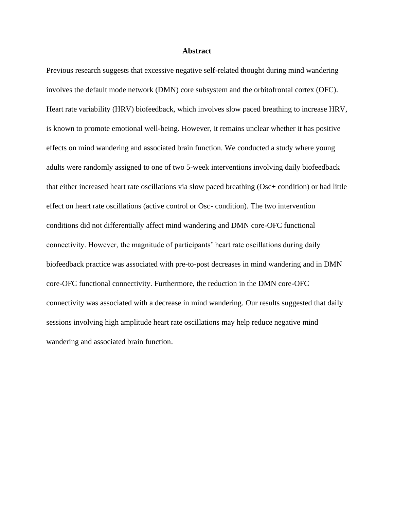#### **Abstract**

Previous research suggests that excessive negative self-related thought during mind wandering involves the default mode network (DMN) core subsystem and the orbitofrontal cortex (OFC). Heart rate variability (HRV) biofeedback, which involves slow paced breathing to increase HRV, is known to promote emotional well-being. However, it remains unclear whether it has positive effects on mind wandering and associated brain function. We conducted a study where young adults were randomly assigned to one of two 5-week interventions involving daily biofeedback that either increased heart rate oscillations via slow paced breathing (Osc+ condition) or had little effect on heart rate oscillations (active control or Osc- condition). The two intervention conditions did not differentially affect mind wandering and DMN core-OFC functional connectivity. However, the magnitude of participants' heart rate oscillations during daily biofeedback practice was associated with pre-to-post decreases in mind wandering and in DMN core-OFC functional connectivity. Furthermore, the reduction in the DMN core-OFC connectivity was associated with a decrease in mind wandering. Our results suggested that daily sessions involving high amplitude heart rate oscillations may help reduce negative mind wandering and associated brain function.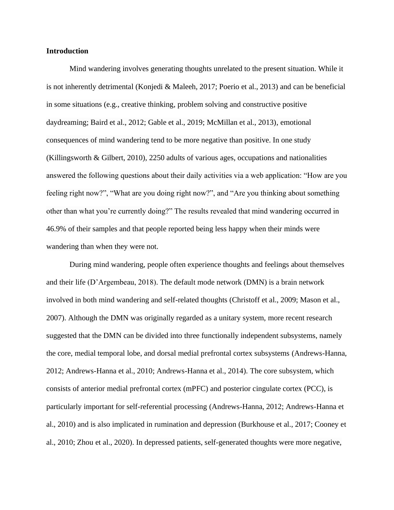### **Introduction**

Mind wandering involves generating thoughts unrelated to the present situation. While it is not inherently detrimental (Konjedi & Maleeh, 2017; Poerio et al., 2013) and can be beneficial in some situations (e.g., creative thinking, problem solving and constructive positive daydreaming; Baird et al., 2012; Gable et al., 2019; McMillan et al., 2013), emotional consequences of mind wandering tend to be more negative than positive. In one study (Killingsworth & Gilbert, 2010), 2250 adults of various ages, occupations and nationalities answered the following questions about their daily activities via a web application: "How are you feeling right now?", "What are you doing right now?", and "Are you thinking about something other than what you're currently doing?" The results revealed that mind wandering occurred in 46.9% of their samples and that people reported being less happy when their minds were wandering than when they were not.

During mind wandering, people often experience thoughts and feelings about themselves and their life (D'Argembeau, 2018). The default mode network (DMN) is a brain network involved in both mind wandering and self-related thoughts (Christoff et al., 2009; Mason et al., 2007). Although the DMN was originally regarded as a unitary system, more recent research suggested that the DMN can be divided into three functionally independent subsystems, namely the core, medial temporal lobe, and dorsal medial prefrontal cortex subsystems (Andrews-Hanna, 2012; Andrews-Hanna et al., 2010; Andrews-Hanna et al., 2014). The core subsystem, which consists of anterior medial prefrontal cortex (mPFC) and posterior cingulate cortex (PCC), is particularly important for self-referential processing (Andrews-Hanna, 2012; Andrews-Hanna et al., 2010) and is also implicated in rumination and depression (Burkhouse et al., 2017; Cooney et al., 2010; Zhou et al., 2020). In depressed patients, self-generated thoughts were more negative,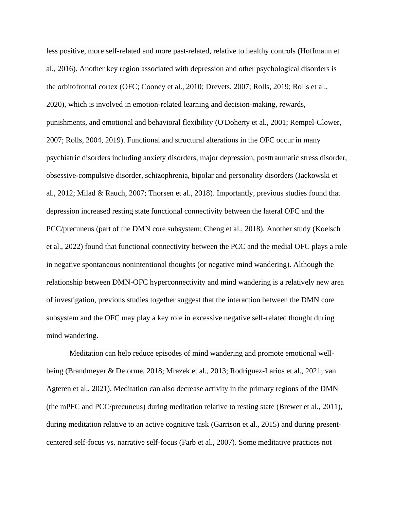less positive, more self-related and more past-related, relative to healthy controls (Hoffmann et al., 2016). Another key region associated with depression and other psychological disorders is the orbitofrontal cortex (OFC; Cooney et al., 2010; Drevets, 2007; Rolls, 2019; Rolls et al., 2020), which is involved in emotion-related learning and decision-making, rewards, punishments, and emotional and behavioral flexibility (O'Doherty et al., 2001; Rempel-Clower, 2007; Rolls, 2004, 2019). Functional and structural alterations in the OFC occur in many psychiatric disorders including anxiety disorders, major depression, posttraumatic stress disorder, obsessive-compulsive disorder, schizophrenia, bipolar and personality disorders (Jackowski et al., 2012; Milad & Rauch, 2007; Thorsen et al., 2018). Importantly, previous studies found that depression increased resting state functional connectivity between the lateral OFC and the PCC/precuneus (part of the DMN core subsystem; Cheng et al., 2018). Another study (Koelsch et al., 2022) found that functional connectivity between the PCC and the medial OFC plays a role in negative spontaneous nonintentional thoughts (or negative mind wandering). Although the relationship between DMN-OFC hyperconnectivity and mind wandering is a relatively new area of investigation, previous studies together suggest that the interaction between the DMN core subsystem and the OFC may play a key role in excessive negative self-related thought during mind wandering.

Meditation can help reduce episodes of mind wandering and promote emotional wellbeing (Brandmeyer & Delorme, 2018; Mrazek et al., 2013; Rodriguez-Larios et al., 2021; van Agteren et al., 2021). Meditation can also decrease activity in the primary regions of the DMN (the mPFC and PCC/precuneus) during meditation relative to resting state (Brewer et al., 2011), during meditation relative to an active cognitive task (Garrison et al., 2015) and during presentcentered self-focus vs. narrative self-focus (Farb et al., 2007). Some meditative practices not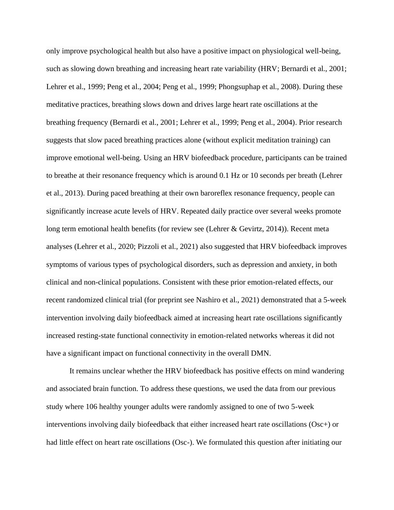only improve psychological health but also have a positive impact on physiological well-being, such as slowing down breathing and increasing heart rate variability (HRV; Bernardi et al., 2001; Lehrer et al., 1999; Peng et al., 2004; Peng et al., 1999; Phongsuphap et al., 2008). During these meditative practices, breathing slows down and drives large heart rate oscillations at the breathing frequency (Bernardi et al., 2001; Lehrer et al., 1999; Peng et al., 2004). Prior research suggests that slow paced breathing practices alone (without explicit meditation training) can improve emotional well-being. Using an HRV biofeedback procedure, participants can be trained to breathe at their resonance frequency which is around 0.1 Hz or 10 seconds per breath (Lehrer et al., 2013). During paced breathing at their own baroreflex resonance frequency, people can significantly increase acute levels of HRV. Repeated daily practice over several weeks promote long term emotional health benefits (for review see (Lehrer & Gevirtz, 2014)). Recent meta analyses (Lehrer et al., 2020; Pizzoli et al., 2021) also suggested that HRV biofeedback improves symptoms of various types of psychological disorders, such as depression and anxiety, in both clinical and non-clinical populations. Consistent with these prior emotion-related effects, our recent randomized clinical trial (for preprint see Nashiro et al., 2021) demonstrated that a 5-week intervention involving daily biofeedback aimed at increasing heart rate oscillations significantly increased resting-state functional connectivity in emotion-related networks whereas it did not have a significant impact on functional connectivity in the overall DMN.

It remains unclear whether the HRV biofeedback has positive effects on mind wandering and associated brain function. To address these questions, we used the data from our previous study where 106 healthy younger adults were randomly assigned to one of two 5-week interventions involving daily biofeedback that either increased heart rate oscillations (Osc+) or had little effect on heart rate oscillations (Osc-). We formulated this question after initiating our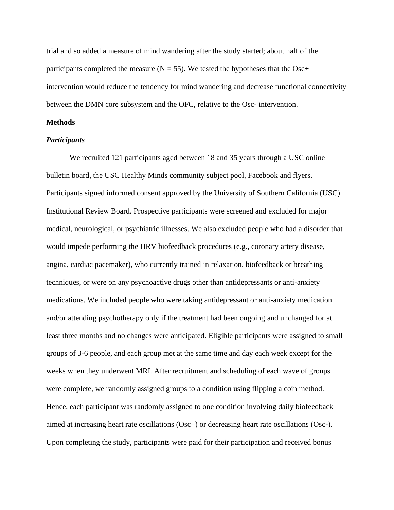trial and so added a measure of mind wandering after the study started; about half of the participants completed the measure  $(N = 55)$ . We tested the hypotheses that the Osc+ intervention would reduce the tendency for mind wandering and decrease functional connectivity between the DMN core subsystem and the OFC, relative to the Osc- intervention.

### **Methods**

### *Participants*

We recruited 121 participants aged between 18 and 35 years through a USC online bulletin board, the USC Healthy Minds community subject pool, Facebook and flyers. Participants signed informed consent approved by the University of Southern California (USC) Institutional Review Board. Prospective participants were screened and excluded for major medical, neurological, or psychiatric illnesses. We also excluded people who had a disorder that would impede performing the HRV biofeedback procedures (e.g., coronary artery disease, angina, cardiac pacemaker), who currently trained in relaxation, biofeedback or breathing techniques, or were on any psychoactive drugs other than antidepressants or anti-anxiety medications. We included people who were taking antidepressant or anti-anxiety medication and/or attending psychotherapy only if the treatment had been ongoing and unchanged for at least three months and no changes were anticipated. Eligible participants were assigned to small groups of 3-6 people, and each group met at the same time and day each week except for the weeks when they underwent MRI. After recruitment and scheduling of each wave of groups were complete, we randomly assigned groups to a condition using flipping a coin method. Hence, each participant was randomly assigned to one condition involving daily biofeedback aimed at increasing heart rate oscillations (Osc+) or decreasing heart rate oscillations (Osc-). Upon completing the study, participants were paid for their participation and received bonus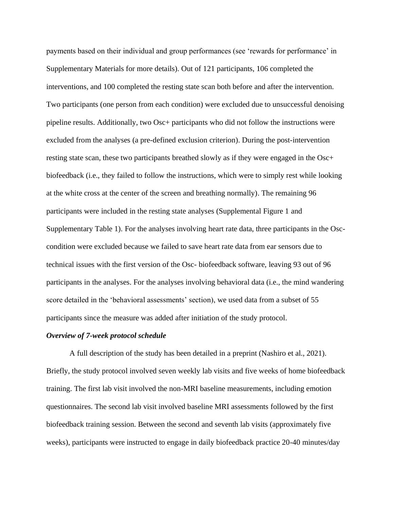payments based on their individual and group performances (see 'rewards for performance' in Supplementary Materials for more details). Out of 121 participants, 106 completed the interventions, and 100 completed the resting state scan both before and after the intervention. Two participants (one person from each condition) were excluded due to unsuccessful denoising pipeline results. Additionally, two Osc+ participants who did not follow the instructions were excluded from the analyses (a pre-defined exclusion criterion). During the post-intervention resting state scan, these two participants breathed slowly as if they were engaged in the Osc+ biofeedback (i.e., they failed to follow the instructions, which were to simply rest while looking at the white cross at the center of the screen and breathing normally). The remaining 96 participants were included in the resting state analyses (Supplemental Figure 1 and Supplementary Table 1). For the analyses involving heart rate data, three participants in the Osccondition were excluded because we failed to save heart rate data from ear sensors due to technical issues with the first version of the Osc- biofeedback software, leaving 93 out of 96 participants in the analyses. For the analyses involving behavioral data (i.e., the mind wandering score detailed in the 'behavioral assessments' section), we used data from a subset of 55 participants since the measure was added after initiation of the study protocol.

#### *Overview of 7-week protocol schedule*

A full description of the study has been detailed in a preprint (Nashiro et al., 2021). Briefly, the study protocol involved seven weekly lab visits and five weeks of home biofeedback training. The first lab visit involved the non-MRI baseline measurements, including emotion questionnaires. The second lab visit involved baseline MRI assessments followed by the first biofeedback training session. Between the second and seventh lab visits (approximately five weeks), participants were instructed to engage in daily biofeedback practice 20-40 minutes/day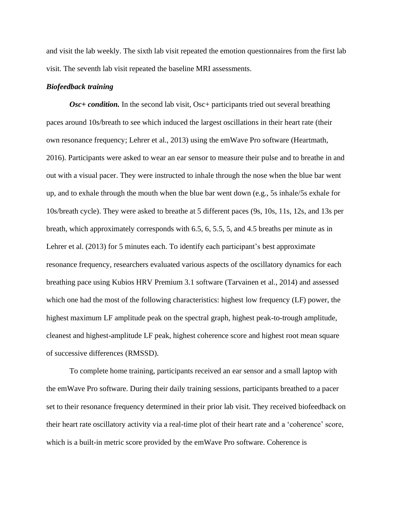and visit the lab weekly. The sixth lab visit repeated the emotion questionnaires from the first lab visit. The seventh lab visit repeated the baseline MRI assessments.

#### *Biofeedback training*

*Osc+ condition.* In the second lab visit, Osc+ participants tried out several breathing paces around 10s/breath to see which induced the largest oscillations in their heart rate (their own resonance frequency; Lehrer et al., 2013) using the emWave Pro software (Heartmath, 2016). Participants were asked to wear an ear sensor to measure their pulse and to breathe in and out with a visual pacer. They were instructed to inhale through the nose when the blue bar went up, and to exhale through the mouth when the blue bar went down (e.g., 5s inhale/5s exhale for 10s/breath cycle). They were asked to breathe at 5 different paces (9s, 10s, 11s, 12s, and 13s per breath, which approximately corresponds with 6.5, 6, 5.5, 5, and 4.5 breaths per minute as in Lehrer et al. (2013) for 5 minutes each. To identify each participant's best approximate resonance frequency, researchers evaluated various aspects of the oscillatory dynamics for each breathing pace using Kubios HRV Premium 3.1 software (Tarvainen et al., 2014) and assessed which one had the most of the following characteristics: highest low frequency (LF) power, the highest maximum LF amplitude peak on the spectral graph, highest peak-to-trough amplitude, cleanest and highest-amplitude LF peak, highest coherence score and highest root mean square of successive differences (RMSSD).

To complete home training, participants received an ear sensor and a small laptop with the emWave Pro software. During their daily training sessions, participants breathed to a pacer set to their resonance frequency determined in their prior lab visit. They received biofeedback on their heart rate oscillatory activity via a real-time plot of their heart rate and a 'coherence' score, which is a built-in metric score provided by the emWave Pro software. Coherence is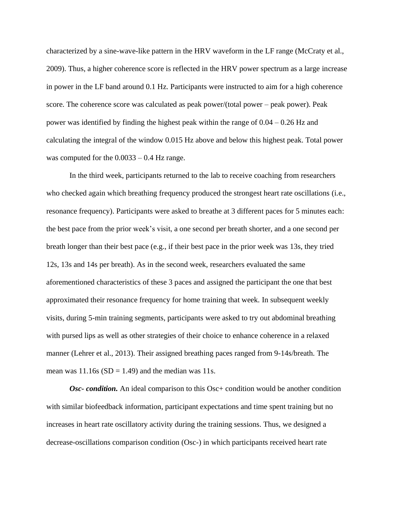characterized by a sine-wave-like pattern in the HRV waveform in the LF range (McCraty et al., 2009). Thus, a higher coherence score is reflected in the HRV power spectrum as a large increase in power in the LF band around 0.1 Hz. Participants were instructed to aim for a high coherence score. The coherence score was calculated as peak power/(total power – peak power). Peak power was identified by finding the highest peak within the range of  $0.04 - 0.26$  Hz and calculating the integral of the window 0.015 Hz above and below this highest peak. Total power was computed for the  $0.0033 - 0.4$  Hz range.

In the third week, participants returned to the lab to receive coaching from researchers who checked again which breathing frequency produced the strongest heart rate oscillations (i.e., resonance frequency). Participants were asked to breathe at 3 different paces for 5 minutes each: the best pace from the prior week's visit, a one second per breath shorter, and a one second per breath longer than their best pace (e.g., if their best pace in the prior week was 13s, they tried 12s, 13s and 14s per breath). As in the second week, researchers evaluated the same aforementioned characteristics of these 3 paces and assigned the participant the one that best approximated their resonance frequency for home training that week. In subsequent weekly visits, during 5-min training segments, participants were asked to try out abdominal breathing with pursed lips as well as other strategies of their choice to enhance coherence in a relaxed manner (Lehrer et al., 2013). Their assigned breathing paces ranged from 9-14s/breath. The mean was  $11.16s$  (SD = 1.49) and the median was 11s.

*Osc-* condition. An ideal comparison to this Osc+ condition would be another condition with similar biofeedback information, participant expectations and time spent training but no increases in heart rate oscillatory activity during the training sessions. Thus, we designed a decrease-oscillations comparison condition (Osc-) in which participants received heart rate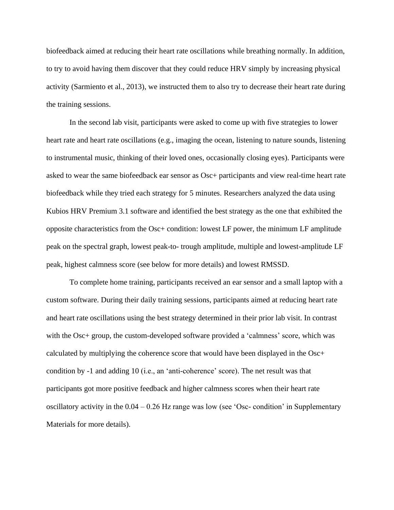biofeedback aimed at reducing their heart rate oscillations while breathing normally. In addition, to try to avoid having them discover that they could reduce HRV simply by increasing physical activity (Sarmiento et al., 2013), we instructed them to also try to decrease their heart rate during the training sessions.

In the second lab visit, participants were asked to come up with five strategies to lower heart rate and heart rate oscillations (e.g., imaging the ocean, listening to nature sounds, listening to instrumental music, thinking of their loved ones, occasionally closing eyes). Participants were asked to wear the same biofeedback ear sensor as Osc+ participants and view real-time heart rate biofeedback while they tried each strategy for 5 minutes. Researchers analyzed the data using Kubios HRV Premium 3.1 software and identified the best strategy as the one that exhibited the opposite characteristics from the Osc+ condition: lowest LF power, the minimum LF amplitude peak on the spectral graph, lowest peak-to- trough amplitude, multiple and lowest-amplitude LF peak, highest calmness score (see below for more details) and lowest RMSSD.

To complete home training, participants received an ear sensor and a small laptop with a custom software. During their daily training sessions, participants aimed at reducing heart rate and heart rate oscillations using the best strategy determined in their prior lab visit. In contrast with the Osc+ group, the custom-developed software provided a 'calmness' score, which was calculated by multiplying the coherence score that would have been displayed in the Osc+ condition by -1 and adding 10 (i.e., an 'anti-coherence' score). The net result was that participants got more positive feedback and higher calmness scores when their heart rate oscillatory activity in the  $0.04 - 0.26$  Hz range was low (see 'Osc- condition' in Supplementary Materials for more details).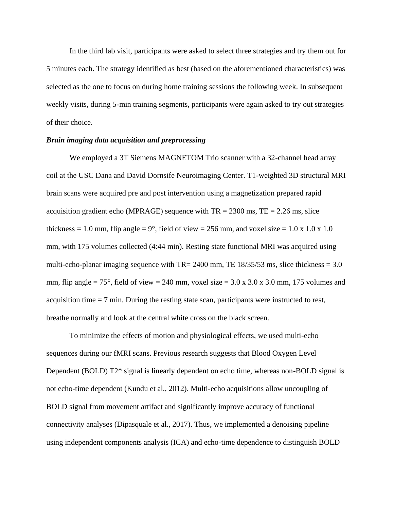In the third lab visit, participants were asked to select three strategies and try them out for 5 minutes each. The strategy identified as best (based on the aforementioned characteristics) was selected as the one to focus on during home training sessions the following week. In subsequent weekly visits, during 5-min training segments, participants were again asked to try out strategies of their choice.

### *Brain imaging data acquisition and preprocessing*

We employed a 3T Siemens MAGNETOM Trio scanner with a 32-channel head array coil at the USC Dana and David Dornsife Neuroimaging Center. T1-weighted 3D structural MRI brain scans were acquired pre and post intervention using a magnetization prepared rapid acquisition gradient echo (MPRAGE) sequence with  $TR = 2300$  ms,  $TE = 2.26$  ms, slice thickness = 1.0 mm, flip angle =  $9^{\circ}$ , field of view = 256 mm, and voxel size = 1.0 x 1.0 x 1.0 mm, with 175 volumes collected (4:44 min). Resting state functional MRI was acquired using multi-echo-planar imaging sequence with  $TR = 2400$  mm, TE 18/35/53 ms, slice thickness = 3.0 mm, flip angle  $= 75^{\circ}$ , field of view  $= 240$  mm, voxel size  $= 3.0 \times 3.0 \times 3.0$  mm, 175 volumes and acquisition time  $= 7$  min. During the resting state scan, participants were instructed to rest, breathe normally and look at the central white cross on the black screen.

To minimize the effects of motion and physiological effects, we used multi-echo sequences during our fMRI scans. Previous research suggests that Blood Oxygen Level Dependent (BOLD) T2\* signal is linearly dependent on echo time, whereas non-BOLD signal is not echo-time dependent (Kundu et al., 2012). Multi-echo acquisitions allow uncoupling of BOLD signal from movement artifact and significantly improve accuracy of functional connectivity analyses (Dipasquale et al., 2017). Thus, we implemented a denoising pipeline using independent components analysis (ICA) and echo-time dependence to distinguish BOLD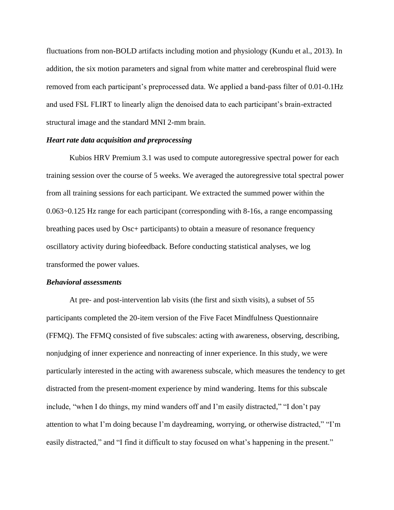fluctuations from non-BOLD artifacts including motion and physiology (Kundu et al., 2013). In addition, the six motion parameters and signal from white matter and cerebrospinal fluid were removed from each participant's preprocessed data. We applied a band-pass filter of 0.01-0.1Hz and used FSL FLIRT to linearly align the denoised data to each participant's brain-extracted structural image and the standard MNI 2-mm brain.

### *Heart rate data acquisition and preprocessing*

Kubios HRV Premium 3.1 was used to compute autoregressive spectral power for each training session over the course of 5 weeks. We averaged the autoregressive total spectral power from all training sessions for each participant. We extracted the summed power within the 0.063~0.125 Hz range for each participant (corresponding with 8-16s, a range encompassing breathing paces used by Osc+ participants) to obtain a measure of resonance frequency oscillatory activity during biofeedback. Before conducting statistical analyses, we log transformed the power values.

#### *Behavioral assessments*

At pre- and post-intervention lab visits (the first and sixth visits), a subset of 55 participants completed the 20-item version of the Five Facet Mindfulness Questionnaire (FFMQ). The FFMQ consisted of five subscales: acting with awareness, observing, describing, nonjudging of inner experience and nonreacting of inner experience. In this study, we were particularly interested in the acting with awareness subscale, which measures the tendency to get distracted from the present-moment experience by mind wandering. Items for this subscale include, "when I do things, my mind wanders off and I'm easily distracted," "I don't pay attention to what I'm doing because I'm daydreaming, worrying, or otherwise distracted," "I'm easily distracted," and "I find it difficult to stay focused on what's happening in the present."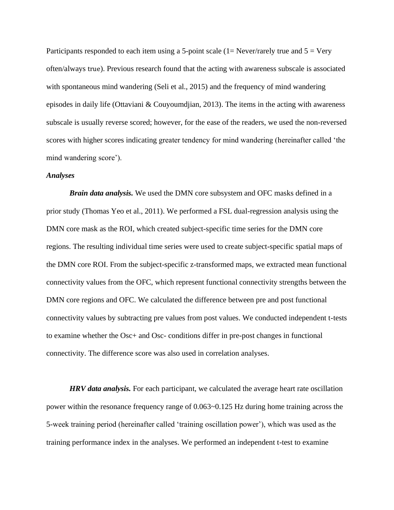Participants responded to each item using a 5-point scale  $(1=Never/ rarely true and 5 = Very)$ often/always true). Previous research found that the acting with awareness subscale is associated with spontaneous mind wandering (Seli et al., 2015) and the frequency of mind wandering episodes in daily life (Ottaviani & Couyoumdjian, 2013). The items in the acting with awareness subscale is usually reverse scored; however, for the ease of the readers, we used the non-reversed scores with higher scores indicating greater tendency for mind wandering (hereinafter called 'the mind wandering score').

### *Analyses*

*Brain data analysis.* We used the DMN core subsystem and OFC masks defined in a prior study (Thomas Yeo et al., 2011). We performed a FSL dual-regression analysis using the DMN core mask as the ROI, which created subject-specific time series for the DMN core regions. The resulting individual time series were used to create subject-specific spatial maps of the DMN core ROI. From the subject-specific z-transformed maps, we extracted mean functional connectivity values from the OFC, which represent functional connectivity strengths between the DMN core regions and OFC. We calculated the difference between pre and post functional connectivity values by subtracting pre values from post values. We conducted independent t-tests to examine whether the Osc+ and Osc- conditions differ in pre-post changes in functional connectivity. The difference score was also used in correlation analyses.

*HRV data analysis.* For each participant, we calculated the average heart rate oscillation power within the resonance frequency range of 0.063~0.125 Hz during home training across the 5-week training period (hereinafter called 'training oscillation power'), which was used as the training performance index in the analyses. We performed an independent t-test to examine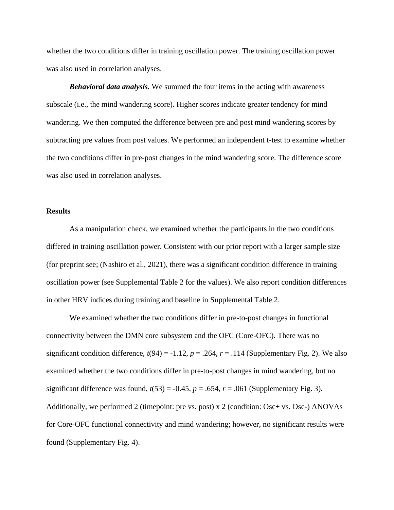whether the two conditions differ in training oscillation power. The training oscillation power was also used in correlation analyses.

*Behavioral data analysis.* We summed the four items in the acting with awareness subscale (i.e., the mind wandering score). Higher scores indicate greater tendency for mind wandering. We then computed the difference between pre and post mind wandering scores by subtracting pre values from post values. We performed an independent t-test to examine whether the two conditions differ in pre-post changes in the mind wandering score. The difference score was also used in correlation analyses.

### **Results**

As a manipulation check, we examined whether the participants in the two conditions differed in training oscillation power. Consistent with our prior report with a larger sample size (for preprint see; (Nashiro et al., 2021), there was a significant condition difference in training oscillation power (see Supplemental Table 2 for the values). We also report condition differences in other HRV indices during training and baseline in Supplemental Table 2.

We examined whether the two conditions differ in pre-to-post changes in functional connectivity between the DMN core subsystem and the OFC (Core-OFC). There was no significant condition difference,  $t(94) = -1.12$ ,  $p = .264$ ,  $r = .114$  (Supplementary Fig. 2). We also examined whether the two conditions differ in pre-to-post changes in mind wandering, but no significant difference was found,  $t(53) = -0.45$ ,  $p = .654$ ,  $r = .061$  (Supplementary Fig. 3). Additionally, we performed 2 (timepoint: pre vs. post) x 2 (condition: Osc+ vs. Osc-) ANOVAs for Core-OFC functional connectivity and mind wandering; however, no significant results were found (Supplementary Fig. 4).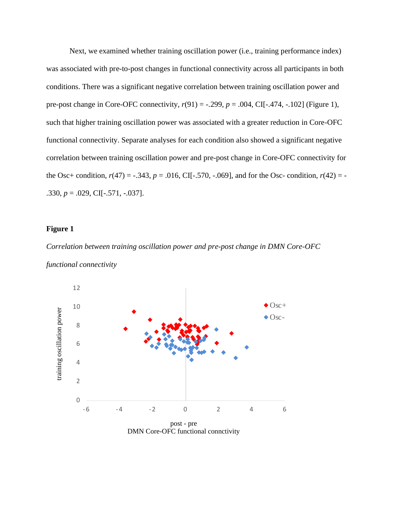Next, we examined whether training oscillation power (i.e., training performance index) was associated with pre-to-post changes in functional connectivity across all participants in both conditions. There was a significant negative correlation between training oscillation power and pre-post change in Core-OFC connectivity, *r*(91) = -.299, *p* = .004, CI[-.474, -.102] (Figure 1), such that higher training oscillation power was associated with a greater reduction in Core-OFC functional connectivity. Separate analyses for each condition also showed a significant negative correlation between training oscillation power and pre-post change in Core-OFC connectivity for the Osc+ condition,  $r(47) = -.343$ ,  $p = .016$ , CI[-.570, -.069], and for the Osc- condition,  $r(42) = -$ .330, *p* = .029, CI[-.571, -.037].

#### **Figure 1**

*Correlation between training oscillation power and pre-post change in DMN Core-OFC functional connectivity*

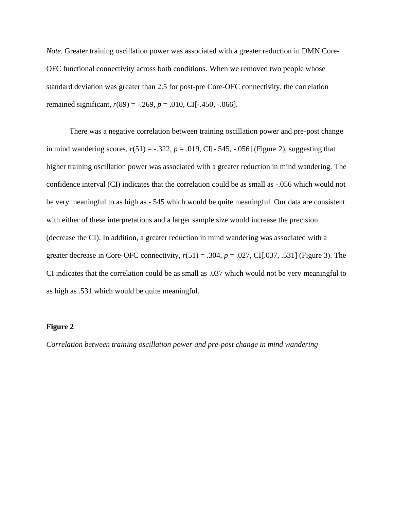*Note.* Greater training oscillation power was associated with a greater reduction in DMN Core-OFC functional connectivity across both conditions. When we removed two people whose standard deviation was greater than 2.5 for post-pre Core-OFC connectivity, the correlation remained significant, *r*(89) = -.269, *p* = .010, CI[-.450, -.066].

There was a negative correlation between training oscillation power and pre-post change in mind wandering scores,  $r(51) = -.322$ ,  $p = .019$ , CI[-.545, -.056] (Figure 2), suggesting that higher training oscillation power was associated with a greater reduction in mind wandering. The confidence interval (CI) indicates that the correlation could be as small as -.056 which would not be very meaningful to as high as -.545 which would be quite meaningful. Our data are consistent with either of these interpretations and a larger sample size would increase the precision (decrease the CI). In addition, a greater reduction in mind wandering was associated with a greater decrease in Core-OFC connectivity, *r*(51) = .304, *p* = .027, CI[.037, .531] (Figure 3). The CI indicates that the correlation could be as small as .037 which would not be very meaningful to as high as .531 which would be quite meaningful.

### **Figure 2**

*Correlation between training oscillation power and pre-post change in mind wandering*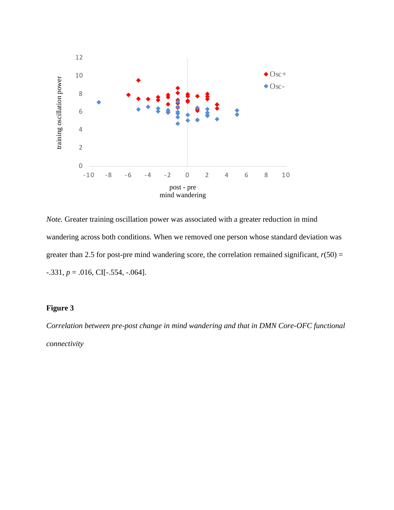

*Note.* Greater training oscillation power was associated with a greater reduction in mind wandering across both conditions. When we removed one person whose standard deviation was greater than 2.5 for post-pre mind wandering score, the correlation remained significant,  $r(50) =$  $-0.331, p = 0.016, \text{CI}[-0.554, -0.064].$ 

### **Figure 3**

*Correlation between pre-post change in mind wandering and that in DMN Core-OFC functional connectivity*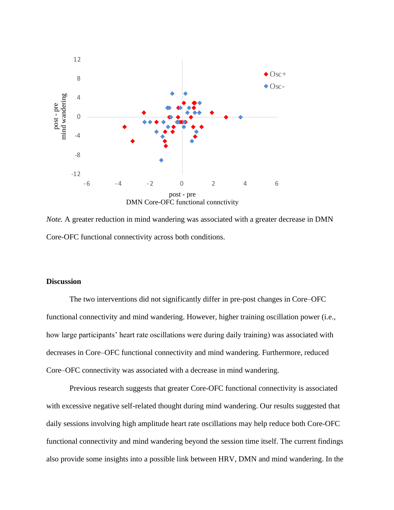

*Note.* A greater reduction in mind wandering was associated with a greater decrease in DMN Core-OFC functional connectivity across both conditions.

### **Discussion**

The two interventions did not significantly differ in pre-post changes in Core–OFC functional connectivity and mind wandering. However, higher training oscillation power (i.e., how large participants' heart rate oscillations were during daily training) was associated with decreases in Core–OFC functional connectivity and mind wandering. Furthermore, reduced Core–OFC connectivity was associated with a decrease in mind wandering.

Previous research suggests that greater Core-OFC functional connectivity is associated with excessive negative self-related thought during mind wandering. Our results suggested that daily sessions involving high amplitude heart rate oscillations may help reduce both Core-OFC functional connectivity and mind wandering beyond the session time itself. The current findings also provide some insights into a possible link between HRV, DMN and mind wandering. In the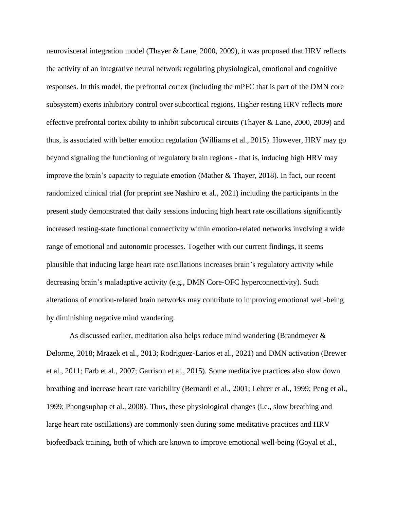neurovisceral integration model (Thayer & Lane, 2000, 2009), it was proposed that HRV reflects the activity of an integrative neural network regulating physiological, emotional and cognitive responses. In this model, the prefrontal cortex (including the mPFC that is part of the DMN core subsystem) exerts inhibitory control over subcortical regions. Higher resting HRV reflects more effective prefrontal cortex ability to inhibit subcortical circuits (Thayer & Lane, 2000, 2009) and thus, is associated with better emotion regulation (Williams et al., 2015). However, HRV may go beyond signaling the functioning of regulatory brain regions - that is, inducing high HRV may improve the brain's capacity to regulate emotion (Mather & Thayer, 2018). In fact, our recent randomized clinical trial (for preprint see Nashiro et al., 2021) including the participants in the present study demonstrated that daily sessions inducing high heart rate oscillations significantly increased resting-state functional connectivity within emotion-related networks involving a wide range of emotional and autonomic processes. Together with our current findings, it seems plausible that inducing large heart rate oscillations increases brain's regulatory activity while decreasing brain's maladaptive activity (e.g., DMN Core-OFC hyperconnectivity). Such alterations of emotion-related brain networks may contribute to improving emotional well-being by diminishing negative mind wandering.

As discussed earlier, meditation also helps reduce mind wandering (Brandmeyer & Delorme, 2018; Mrazek et al., 2013; Rodriguez-Larios et al., 2021) and DMN activation (Brewer et al., 2011; Farb et al., 2007; Garrison et al., 2015). Some meditative practices also slow down breathing and increase heart rate variability (Bernardi et al., 2001; Lehrer et al., 1999; Peng et al., 1999; Phongsuphap et al., 2008). Thus, these physiological changes (i.e., slow breathing and large heart rate oscillations) are commonly seen during some meditative practices and HRV biofeedback training, both of which are known to improve emotional well-being (Goyal et al.,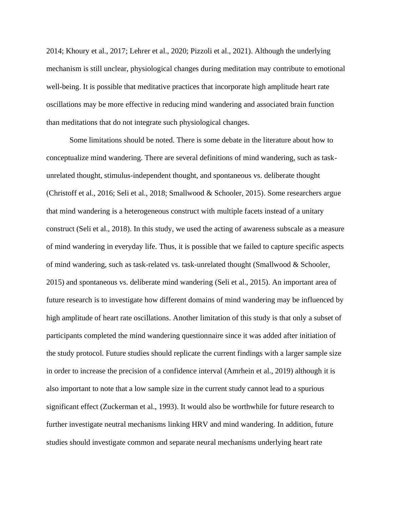2014; Khoury et al., 2017; Lehrer et al., 2020; Pizzoli et al., 2021). Although the underlying mechanism is still unclear, physiological changes during meditation may contribute to emotional well-being. It is possible that meditative practices that incorporate high amplitude heart rate oscillations may be more effective in reducing mind wandering and associated brain function than meditations that do not integrate such physiological changes.

Some limitations should be noted. There is some debate in the literature about how to conceptualize mind wandering. There are several definitions of mind wandering, such as taskunrelated thought, stimulus-independent thought, and spontaneous vs. deliberate thought (Christoff et al., 2016; Seli et al., 2018; Smallwood & Schooler, 2015). Some researchers argue that mind wandering is a heterogeneous construct with multiple facets instead of a unitary construct (Seli et al., 2018). In this study, we used the acting of awareness subscale as a measure of mind wandering in everyday life. Thus, it is possible that we failed to capture specific aspects of mind wandering, such as task-related vs. task-unrelated thought (Smallwood & Schooler, 2015) and spontaneous vs. deliberate mind wandering (Seli et al., 2015). An important area of future research is to investigate how different domains of mind wandering may be influenced by high amplitude of heart rate oscillations. Another limitation of this study is that only a subset of participants completed the mind wandering questionnaire since it was added after initiation of the study protocol. Future studies should replicate the current findings with a larger sample size in order to increase the precision of a confidence interval (Amrhein et al., 2019) although it is also important to note that a low sample size in the current study cannot lead to a spurious significant effect (Zuckerman et al., 1993). It would also be worthwhile for future research to further investigate neutral mechanisms linking HRV and mind wandering. In addition, future studies should investigate common and separate neural mechanisms underlying heart rate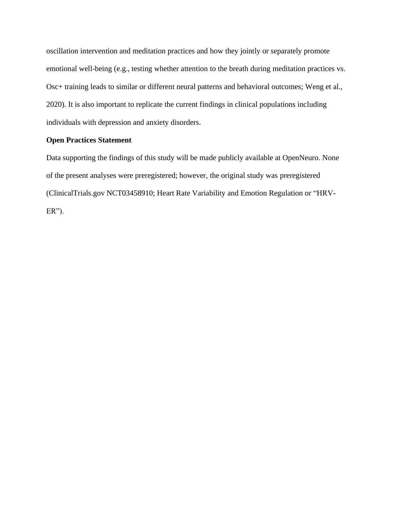oscillation intervention and meditation practices and how they jointly or separately promote emotional well-being (e.g., testing whether attention to the breath during meditation practices vs. Osc+ training leads to similar or different neural patterns and behavioral outcomes; Weng et al., 2020). It is also important to replicate the current findings in clinical populations including individuals with depression and anxiety disorders.

### **Open Practices Statement**

Data supporting the findings of this study will be made publicly available at OpenNeuro. None of the present analyses were preregistered; however, the original study was preregistered (ClinicalTrials.gov NCT03458910; Heart Rate Variability and Emotion Regulation or "HRV- $ER$ ").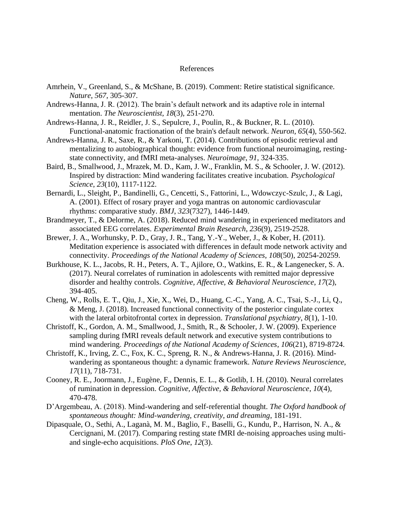### References

- Amrhein, V., Greenland, S., & McShane, B. (2019). Comment: Retire statistical significance. *Nature*, *567*, 305-307.
- Andrews-Hanna, J. R. (2012). The brain's default network and its adaptive role in internal mentation. *The Neuroscientist*, *18*(3), 251-270.
- Andrews-Hanna, J. R., Reidler, J. S., Sepulcre, J., Poulin, R., & Buckner, R. L. (2010). Functional-anatomic fractionation of the brain's default network. *Neuron*, *65*(4), 550-562.
- Andrews-Hanna, J. R., Saxe, R., & Yarkoni, T. (2014). Contributions of episodic retrieval and mentalizing to autobiographical thought: evidence from functional neuroimaging, restingstate connectivity, and fMRI meta-analyses. *Neuroimage*, *91*, 324-335.
- Baird, B., Smallwood, J., Mrazek, M. D., Kam, J. W., Franklin, M. S., & Schooler, J. W. (2012). Inspired by distraction: Mind wandering facilitates creative incubation. *Psychological Science*, *23*(10), 1117-1122.
- Bernardi, L., Sleight, P., Bandinelli, G., Cencetti, S., Fattorini, L., Wdowczyc-Szulc, J., & Lagi, A. (2001). Effect of rosary prayer and yoga mantras on autonomic cardiovascular rhythms: comparative study. *BMJ*, *323*(7327), 1446-1449.
- Brandmeyer, T., & Delorme, A. (2018). Reduced mind wandering in experienced meditators and associated EEG correlates. *Experimental Brain Research*, *236*(9), 2519-2528.
- Brewer, J. A., Worhunsky, P. D., Gray, J. R., Tang, Y.-Y., Weber, J., & Kober, H. (2011). Meditation experience is associated with differences in default mode network activity and connectivity. *Proceedings of the National Academy of Sciences*, *108*(50), 20254-20259.
- Burkhouse, K. L., Jacobs, R. H., Peters, A. T., Ajilore, O., Watkins, E. R., & Langenecker, S. A. (2017). Neural correlates of rumination in adolescents with remitted major depressive disorder and healthy controls. *Cognitive, Affective, & Behavioral Neuroscience*, *17*(2), 394-405.
- Cheng, W., Rolls, E. T., Qiu, J., Xie, X., Wei, D., Huang, C.-C., Yang, A. C., Tsai, S.-J., Li, Q., & Meng, J. (2018). Increased functional connectivity of the posterior cingulate cortex with the lateral orbitofrontal cortex in depression. *Translational psychiatry*, *8*(1), 1-10.
- Christoff, K., Gordon, A. M., Smallwood, J., Smith, R., & Schooler, J. W. (2009). Experience sampling during fMRI reveals default network and executive system contributions to mind wandering. *Proceedings of the National Academy of Sciences*, *106*(21), 8719-8724.
- Christoff, K., Irving, Z. C., Fox, K. C., Spreng, R. N., & Andrews-Hanna, J. R. (2016). Mindwandering as spontaneous thought: a dynamic framework. *Nature Reviews Neuroscience*, *17*(11), 718-731.
- Cooney, R. E., Joormann, J., Eugène, F., Dennis, E. L., & Gotlib, I. H. (2010). Neural correlates of rumination in depression. *Cognitive, Affective, & Behavioral Neuroscience*, *10*(4), 470-478.
- D'Argembeau, A. (2018). Mind-wandering and self-referential thought. *The Oxford handbook of spontaneous thought: Mind-wandering, creativity, and dreaming*, 181-191.
- Dipasquale, O., Sethi, A., Laganà, M. M., Baglio, F., Baselli, G., Kundu, P., Harrison, N. A., & Cercignani, M. (2017). Comparing resting state fMRI de-noising approaches using multiand single-echo acquisitions. *PloS One*, *12*(3).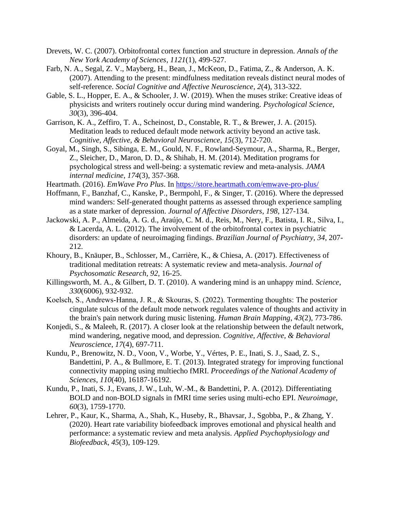- Drevets, W. C. (2007). Orbitofrontal cortex function and structure in depression. *Annals of the New York Academy of Sciences*, *1121*(1), 499-527.
- Farb, N. A., Segal, Z. V., Mayberg, H., Bean, J., McKeon, D., Fatima, Z., & Anderson, A. K. (2007). Attending to the present: mindfulness meditation reveals distinct neural modes of self-reference. *Social Cognitive and Affective Neuroscience*, *2*(4), 313-322.
- Gable, S. L., Hopper, E. A., & Schooler, J. W. (2019). When the muses strike: Creative ideas of physicists and writers routinely occur during mind wandering. *Psychological Science*, *30*(3), 396-404.
- Garrison, K. A., Zeffiro, T. A., Scheinost, D., Constable, R. T., & Brewer, J. A. (2015). Meditation leads to reduced default mode network activity beyond an active task. *Cognitive, Affective, & Behavioral Neuroscience*, *15*(3), 712-720.
- Goyal, M., Singh, S., Sibinga, E. M., Gould, N. F., Rowland-Seymour, A., Sharma, R., Berger, Z., Sleicher, D., Maron, D. D., & Shihab, H. M. (2014). Meditation programs for psychological stress and well-being: a systematic review and meta-analysis. *JAMA internal medicine*, *174*(3), 357-368.

Heartmath. (2016). *EmWave Pro Plus*. In<https://store.heartmath.com/emwave-pro-plus/>

- Hoffmann, F., Banzhaf, C., Kanske, P., Bermpohl, F., & Singer, T. (2016). Where the depressed mind wanders: Self-generated thought patterns as assessed through experience sampling as a state marker of depression. *Journal of Affective Disorders*, *198*, 127-134.
- Jackowski, A. P., Almeida, A. G. d., Araújo, C. M. d., Reis, M., Nery, F., Batista, I. R., Silva, I., & Lacerda, A. L. (2012). The involvement of the orbitofrontal cortex in psychiatric disorders: an update of neuroimaging findings. *Brazilian Journal of Psychiatry*, *34*, 207- 212.
- Khoury, B., Knäuper, B., Schlosser, M., Carrière, K., & Chiesa, A. (2017). Effectiveness of traditional meditation retreats: A systematic review and meta-analysis. *Journal of Psychosomatic Research*, *92*, 16-25.
- Killingsworth, M. A., & Gilbert, D. T. (2010). A wandering mind is an unhappy mind. *Science*, *330*(6006), 932-932.
- Koelsch, S., Andrews‐Hanna, J. R., & Skouras, S. (2022). Tormenting thoughts: The posterior cingulate sulcus of the default mode network regulates valence of thoughts and activity in the brain's pain network during music listening. *Human Brain Mapping*, *43*(2), 773-786.
- Konjedi, S., & Maleeh, R. (2017). A closer look at the relationship between the default network, mind wandering, negative mood, and depression. *Cognitive, Affective, & Behavioral Neuroscience*, *17*(4), 697-711.
- Kundu, P., Brenowitz, N. D., Voon, V., Worbe, Y., Vértes, P. E., Inati, S. J., Saad, Z. S., Bandettini, P. A., & Bullmore, E. T. (2013). Integrated strategy for improving functional connectivity mapping using multiecho fMRI. *Proceedings of the National Academy of Sciences*, *110*(40), 16187-16192.
- Kundu, P., Inati, S. J., Evans, J. W., Luh, W.-M., & Bandettini, P. A. (2012). Differentiating BOLD and non-BOLD signals in fMRI time series using multi-echo EPI. *Neuroimage*, *60*(3), 1759-1770.
- Lehrer, P., Kaur, K., Sharma, A., Shah, K., Huseby, R., Bhavsar, J., Sgobba, P., & Zhang, Y. (2020). Heart rate variability biofeedback improves emotional and physical health and performance: a systematic review and meta analysis. *Applied Psychophysiology and Biofeedback*, *45*(3), 109-129.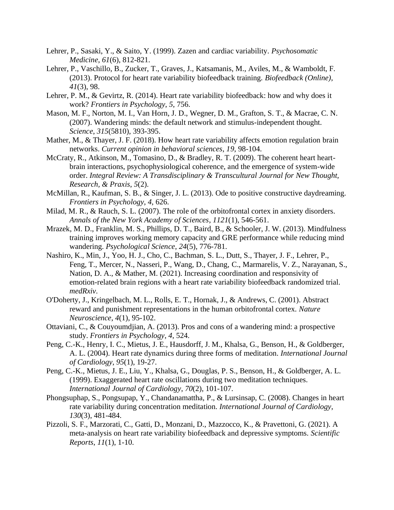- Lehrer, P., Sasaki, Y., & Saito, Y. (1999). Zazen and cardiac variability. *Psychosomatic Medicine*, *61*(6), 812-821.
- Lehrer, P., Vaschillo, B., Zucker, T., Graves, J., Katsamanis, M., Aviles, M., & Wamboldt, F. (2013). Protocol for heart rate variability biofeedback training. *Biofeedback (Online)*, *41*(3), 98.
- Lehrer, P. M., & Gevirtz, R. (2014). Heart rate variability biofeedback: how and why does it work? *Frontiers in Psychology*, *5*, 756.
- Mason, M. F., Norton, M. I., Van Horn, J. D., Wegner, D. M., Grafton, S. T., & Macrae, C. N. (2007). Wandering minds: the default network and stimulus-independent thought. *Science*, *315*(5810), 393-395.
- Mather, M., & Thayer, J. F. (2018). How heart rate variability affects emotion regulation brain networks. *Current opinion in behavioral sciences*, *19*, 98-104.
- McCraty, R., Atkinson, M., Tomasino, D., & Bradley, R. T. (2009). The coherent heart heartbrain interactions, psychophysiological coherence, and the emergence of system-wide order. *Integral Review: A Transdisciplinary & Transcultural Journal for New Thought, Research, & Praxis*, *5*(2).
- McMillan, R., Kaufman, S. B., & Singer, J. L. (2013). Ode to positive constructive daydreaming. *Frontiers in Psychology*, *4*, 626.
- Milad, M. R., & Rauch, S. L. (2007). The role of the orbitofrontal cortex in anxiety disorders. *Annals of the New York Academy of Sciences*, *1121*(1), 546-561.
- Mrazek, M. D., Franklin, M. S., Phillips, D. T., Baird, B., & Schooler, J. W. (2013). Mindfulness training improves working memory capacity and GRE performance while reducing mind wandering. *Psychological Science*, *24*(5), 776-781.
- Nashiro, K., Min, J., Yoo, H. J., Cho, C., Bachman, S. L., Dutt, S., Thayer, J. F., Lehrer, P., Feng, T., Mercer, N., Nasseri, P., Wang, D., Chang, C., Marmarelis, V. Z., Narayanan, S., Nation, D. A., & Mather, M. (2021). Increasing coordination and responsivity of emotion-related brain regions with a heart rate variability biofeedback randomized trial. *medRxiv*.
- O'Doherty, J., Kringelbach, M. L., Rolls, E. T., Hornak, J., & Andrews, C. (2001). Abstract reward and punishment representations in the human orbitofrontal cortex. *Nature Neuroscience*, *4*(1), 95-102.
- Ottaviani, C., & Couyoumdjian, A. (2013). Pros and cons of a wandering mind: a prospective study. *Frontiers in Psychology*, *4*, 524.
- Peng, C.-K., Henry, I. C., Mietus, J. E., Hausdorff, J. M., Khalsa, G., Benson, H., & Goldberger, A. L. (2004). Heart rate dynamics during three forms of meditation. *International Journal of Cardiology*, *95*(1), 19-27.
- Peng, C.-K., Mietus, J. E., Liu, Y., Khalsa, G., Douglas, P. S., Benson, H., & Goldberger, A. L. (1999). Exaggerated heart rate oscillations during two meditation techniques. *International Journal of Cardiology*, *70*(2), 101-107.
- Phongsuphap, S., Pongsupap, Y., Chandanamattha, P., & Lursinsap, C. (2008). Changes in heart rate variability during concentration meditation. *International Journal of Cardiology*, *130*(3), 481-484.
- Pizzoli, S. F., Marzorati, C., Gatti, D., Monzani, D., Mazzocco, K., & Pravettoni, G. (2021). A meta-analysis on heart rate variability biofeedback and depressive symptoms. *Scientific Reports*, *11*(1), 1-10.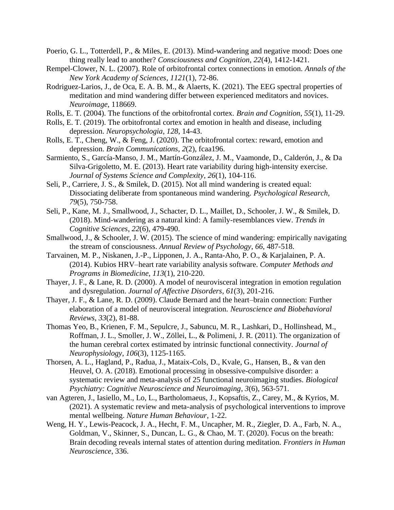- Poerio, G. L., Totterdell, P., & Miles, E. (2013). Mind-wandering and negative mood: Does one thing really lead to another? *Consciousness and Cognition*, *22*(4), 1412-1421.
- Rempel-Clower, N. L. (2007). Role of orbitofrontal cortex connections in emotion. *Annals of the New York Academy of Sciences*, *1121*(1), 72-86.
- Rodriguez-Larios, J., de Oca, E. A. B. M., & Alaerts, K. (2021). The EEG spectral properties of meditation and mind wandering differ between experienced meditators and novices. *Neuroimage*, 118669.
- Rolls, E. T. (2004). The functions of the orbitofrontal cortex. *Brain and Cognition*, *55*(1), 11-29.
- Rolls, E. T. (2019). The orbitofrontal cortex and emotion in health and disease, including depression. *Neuropsychologia*, *128*, 14-43.
- Rolls, E. T., Cheng, W., & Feng, J. (2020). The orbitofrontal cortex: reward, emotion and depression. *Brain Communications*, *2*(2), fcaa196.
- Sarmiento, S., García-Manso, J. M., Martín-González, J. M., Vaamonde, D., Calderón, J., & Da Silva-Grigoletto, M. E. (2013). Heart rate variability during high-intensity exercise. *Journal of Systems Science and Complexity*, *26*(1), 104-116.
- Seli, P., Carriere, J. S., & Smilek, D. (2015). Not all mind wandering is created equal: Dissociating deliberate from spontaneous mind wandering. *Psychological Research*, *79*(5), 750-758.
- Seli, P., Kane, M. J., Smallwood, J., Schacter, D. L., Maillet, D., Schooler, J. W., & Smilek, D. (2018). Mind-wandering as a natural kind: A family-resemblances view. *Trends in Cognitive Sciences*, *22*(6), 479-490.
- Smallwood, J., & Schooler, J. W. (2015). The science of mind wandering: empirically navigating the stream of consciousness. *Annual Review of Psychology*, *66*, 487-518.
- Tarvainen, M. P., Niskanen, J.-P., Lipponen, J. A., Ranta-Aho, P. O., & Karjalainen, P. A. (2014). Kubios HRV–heart rate variability analysis software. *Computer Methods and Programs in Biomedicine*, *113*(1), 210-220.
- Thayer, J. F., & Lane, R. D. (2000). A model of neurovisceral integration in emotion regulation and dysregulation. *Journal of Affective Disorders*, *61*(3), 201-216.
- Thayer, J. F., & Lane, R. D. (2009). Claude Bernard and the heart–brain connection: Further elaboration of a model of neurovisceral integration. *Neuroscience and Biobehavioral Reviews*, *33*(2), 81-88.
- Thomas Yeo, B., Krienen, F. M., Sepulcre, J., Sabuncu, M. R., Lashkari, D., Hollinshead, M., Roffman, J. L., Smoller, J. W., Zöllei, L., & Polimeni, J. R. (2011). The organization of the human cerebral cortex estimated by intrinsic functional connectivity. *Journal of Neurophysiology*, *106*(3), 1125-1165.
- Thorsen, A. L., Hagland, P., Radua, J., Mataix-Cols, D., Kvale, G., Hansen, B., & van den Heuvel, O. A. (2018). Emotional processing in obsessive-compulsive disorder: a systematic review and meta-analysis of 25 functional neuroimaging studies. *Biological Psychiatry: Cognitive Neuroscience and Neuroimaging*, *3*(6), 563-571.
- van Agteren, J., Iasiello, M., Lo, L., Bartholomaeus, J., Kopsaftis, Z., Carey, M., & Kyrios, M. (2021). A systematic review and meta-analysis of psychological interventions to improve mental wellbeing. *Nature Human Behaviour*, 1-22.
- Weng, H. Y., Lewis-Peacock, J. A., Hecht, F. M., Uncapher, M. R., Ziegler, D. A., Farb, N. A., Goldman, V., Skinner, S., Duncan, L. G., & Chao, M. T. (2020). Focus on the breath: Brain decoding reveals internal states of attention during meditation. *Frontiers in Human Neuroscience*, 336.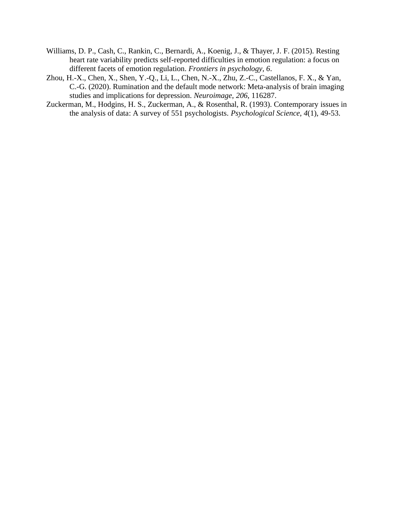- Williams, D. P., Cash, C., Rankin, C., Bernardi, A., Koenig, J., & Thayer, J. F. (2015). Resting heart rate variability predicts self-reported difficulties in emotion regulation: a focus on different facets of emotion regulation. *Frontiers in psychology*, *6*.
- Zhou, H.-X., Chen, X., Shen, Y.-Q., Li, L., Chen, N.-X., Zhu, Z.-C., Castellanos, F. X., & Yan, C.-G. (2020). Rumination and the default mode network: Meta-analysis of brain imaging studies and implications for depression. *Neuroimage*, *206*, 116287.
- Zuckerman, M., Hodgins, H. S., Zuckerman, A., & Rosenthal, R. (1993). Contemporary issues in the analysis of data: A survey of 551 psychologists. *Psychological Science*, *4*(1), 49-53.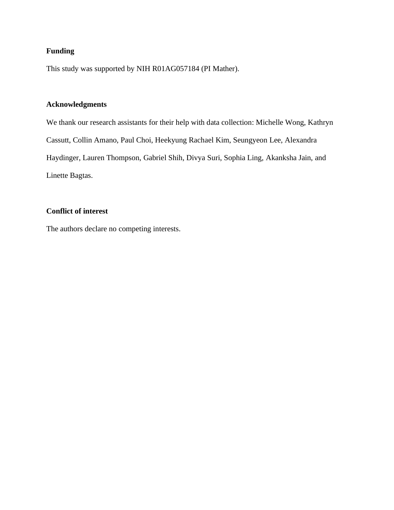### **Funding**

This study was supported by NIH R01AG057184 (PI Mather).

### **Acknowledgments**

We thank our research assistants for their help with data collection: Michelle Wong, Kathryn Cassutt, Collin Amano, Paul Choi, Heekyung Rachael Kim, Seungyeon Lee, Alexandra Haydinger, Lauren Thompson, Gabriel Shih, Divya Suri, Sophia Ling, Akanksha Jain, and Linette Bagtas.

### **Conflict of interest**

The authors declare no competing interests.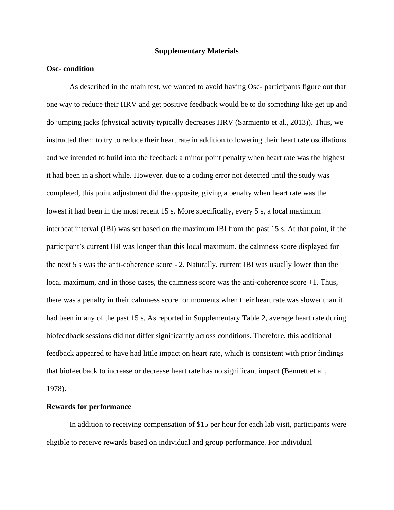### **Supplementary Materials**

### **Osc- condition**

As described in the main test, we wanted to avoid having Osc- participants figure out that one way to reduce their HRV and get positive feedback would be to do something like get up and do jumping jacks (physical activity typically decreases HRV (Sarmiento et al., 2013)). Thus, we instructed them to try to reduce their heart rate in addition to lowering their heart rate oscillations and we intended to build into the feedback a minor point penalty when heart rate was the highest it had been in a short while. However, due to a coding error not detected until the study was completed, this point adjustment did the opposite, giving a penalty when heart rate was the lowest it had been in the most recent 15 s. More specifically, every 5 s, a local maximum interbeat interval (IBI) was set based on the maximum IBI from the past 15 s. At that point, if the participant's current IBI was longer than this local maximum, the calmness score displayed for the next 5 s was the anti-coherence score - 2. Naturally, current IBI was usually lower than the local maximum, and in those cases, the calmness score was the anti-coherence score +1. Thus, there was a penalty in their calmness score for moments when their heart rate was slower than it had been in any of the past 15 s. As reported in Supplementary Table 2, average heart rate during biofeedback sessions did not differ significantly across conditions. Therefore, this additional feedback appeared to have had little impact on heart rate, which is consistent with prior findings that biofeedback to increase or decrease heart rate has no significant impact (Bennett et al., 1978).

#### **Rewards for performance**

In addition to receiving compensation of \$15 per hour for each lab visit, participants were eligible to receive rewards based on individual and group performance. For individual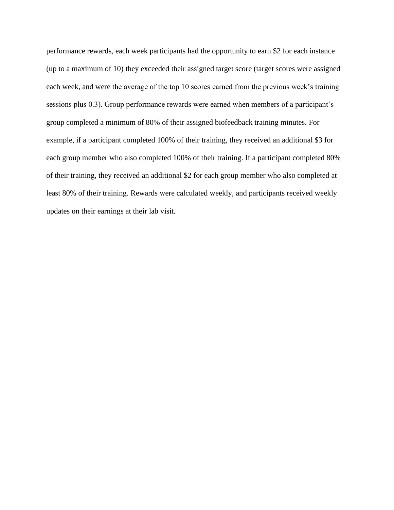performance rewards, each week participants had the opportunity to earn \$2 for each instance (up to a maximum of 10) they exceeded their assigned target score (target scores were assigned each week, and were the average of the top 10 scores earned from the previous week's training sessions plus 0.3). Group performance rewards were earned when members of a participant's group completed a minimum of 80% of their assigned biofeedback training minutes. For example, if a participant completed 100% of their training, they received an additional \$3 for each group member who also completed 100% of their training. If a participant completed 80% of their training, they received an additional \$2 for each group member who also completed at least 80% of their training. Rewards were calculated weekly, and participants received weekly updates on their earnings at their lab visit.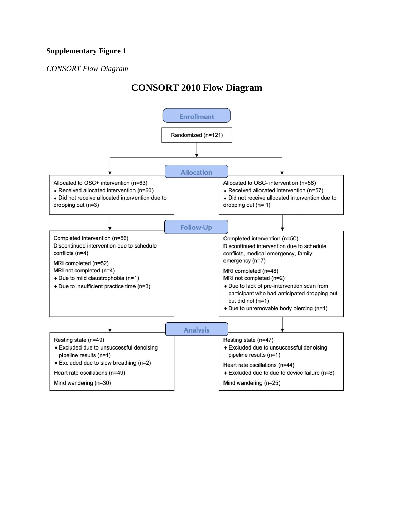### **Supplementary Figure 1**

### *CONSORT Flow Diagram*

# **CONSORT 2010 Flow Diagram**

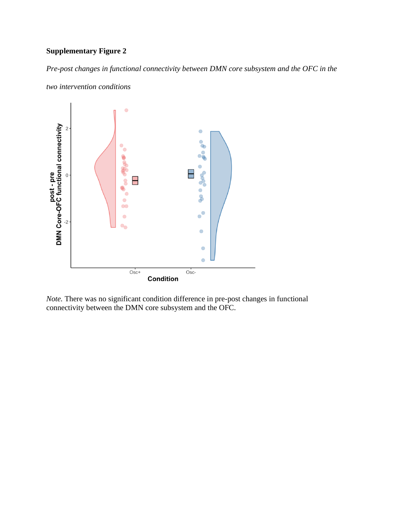## **Supplementary Figure 2**

*Pre-post changes in functional connectivity between DMN core subsystem and the OFC in the two intervention conditions*



*Note.* There was no significant condition difference in pre-post changes in functional connectivity between the DMN core subsystem and the OFC.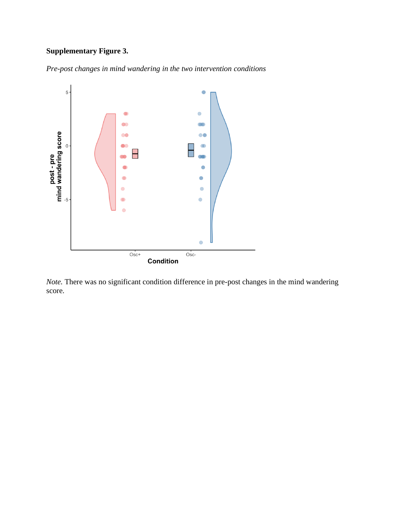## **Supplementary Figure 3.**

*Pre-post changes in mind wandering in the two intervention conditions*



*Note.* There was no significant condition difference in pre-post changes in the mind wandering score.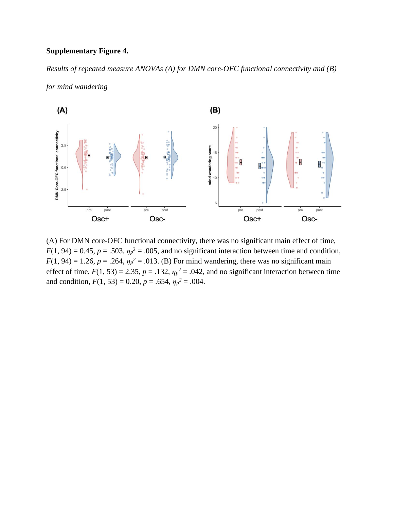### **Supplementary Figure 4.**

*for mind wandering*

*Results of repeated measure ANOVAs (A) for DMN core-OFC functional connectivity and (B)*



(A) For DMN core-OFC functional connectivity, there was no significant main effect of time,  $F(1, 94) = 0.45$ ,  $p = .503$ ,  $\eta_p^2 = .005$ , and no significant interaction between time and condition,  $F(1, 94) = 1.26$ ,  $p = .264$ ,  $\eta_p^2 = .013$ . (B) For mind wandering, there was no significant main effect of time,  $F(1, 53) = 2.35$ ,  $p = .132$ ,  $\eta_p^2 = .042$ , and no significant interaction between time and condition,  $F(1, 53) = 0.20$ ,  $p = .654$ ,  $\eta_p^2 = .004$ .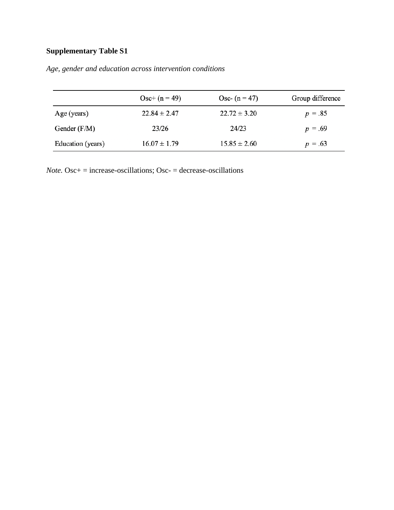# **Supplementary Table S1**

|                   | $Osc+ (n = 49)$  | Osc- $(n = 47)$  | Group difference |
|-------------------|------------------|------------------|------------------|
| Age (years)       | $22.84 \pm 2.47$ | $22.72 \pm 3.20$ | $p = .85$        |
| Gender $(F/M)$    | 23/26            | 24/23            | $p = .69$        |
| Education (years) | $16.07 \pm 1.79$ | $15.85 \pm 2.60$ | $p = .63$        |

*Age, gender and education across intervention conditions*

*Note.* Osc $+$  = increase-oscillations; Osc- = decrease-oscillations